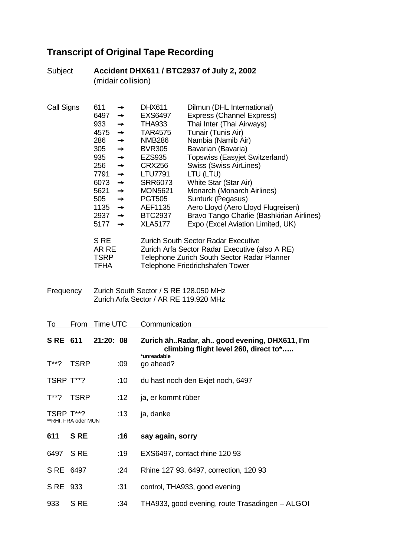## **Transcript of Original Tape Recording**

|            | (midair collision)  |                                                                                                                                                                                       |                                                                                                                                                                                                                                |                                                                                                                                                                                                                                                              |                                                                                                                                                                                                                                                                                                                                                                                                                                                                                                                                                                                                                                     |
|------------|---------------------|---------------------------------------------------------------------------------------------------------------------------------------------------------------------------------------|--------------------------------------------------------------------------------------------------------------------------------------------------------------------------------------------------------------------------------|--------------------------------------------------------------------------------------------------------------------------------------------------------------------------------------------------------------------------------------------------------------|-------------------------------------------------------------------------------------------------------------------------------------------------------------------------------------------------------------------------------------------------------------------------------------------------------------------------------------------------------------------------------------------------------------------------------------------------------------------------------------------------------------------------------------------------------------------------------------------------------------------------------------|
| Call Signs |                     | 611<br>6497<br>933<br>4575<br>286<br>305<br>935<br>256<br>7791<br>6073<br>5621<br>505<br>1135<br>2937 $\rightarrow$<br>5177<br>S <sub>RE</sub><br>AR RE<br><b>TSRP</b><br><b>TFHA</b> | →<br>$\rightarrow$<br>$\rightarrow$<br>$\rightarrow$<br>$\rightarrow$<br>$\rightarrow$<br>$\rightarrow$<br>$\rightarrow$<br>$\rightarrow$<br>$\rightarrow$<br>$\rightarrow$<br>$\rightarrow$<br>$\rightarrow$<br>$\rightarrow$ | <b>DHX611</b><br><b>EXS6497</b><br><b>THA933</b><br><b>TAR4575</b><br><b>NMB286</b><br><b>BVR305</b><br><b>EZS935</b><br><b>CRX256</b><br><b>LTU7791</b><br><b>SRR6073</b><br><b>MON5621</b><br><b>PGT505</b><br>AEF1135<br><b>BTC2937</b><br><b>XLA5177</b> | Dilmun (DHL International)<br><b>Express (Channel Express)</b><br>Thai Inter (Thai Airways)<br>Tunair (Tunis Air)<br>Nambia (Namib Air)<br>Bavarian (Bavaria)<br>Topswiss (Easyjet Switzerland)<br><b>Swiss (Swiss AirLines)</b><br>LTU (LTU)<br>White Star (Star Air)<br>Monarch (Monarch Airlines)<br>Sunturk (Pegasus)<br>Aero Lloyd (Aero Lloyd Flugreisen)<br>Bravo Tango Charlie (Bashkirian Airlines)<br>Expo (Excel Aviation Limited, UK)<br><b>Zurich South Sector Radar Executive</b><br>Zurich Arfa Sector Radar Executive (also A RE)<br>Telephone Zurich South Sector Radar Planner<br>Telephone Friedrichshafen Tower |
| Frequency  |                     |                                                                                                                                                                                       |                                                                                                                                                                                                                                | Zurich South Sector / S RE 128.050 MHz<br>Zurich Arfa Sector / AR RE 119.920 MHz                                                                                                                                                                             |                                                                                                                                                                                                                                                                                                                                                                                                                                                                                                                                                                                                                                     |
| То         | From                | <b>Time UTC</b>                                                                                                                                                                       |                                                                                                                                                                                                                                | Communication                                                                                                                                                                                                                                                |                                                                                                                                                                                                                                                                                                                                                                                                                                                                                                                                                                                                                                     |
| S RE 611   |                     | 21:20: 08                                                                                                                                                                             |                                                                                                                                                                                                                                |                                                                                                                                                                                                                                                              | Zurich ähRadar, ah good evening, DHX611, I'm<br>climbing flight level 260, direct to*                                                                                                                                                                                                                                                                                                                                                                                                                                                                                                                                               |
| T**?       | <b>TSRP</b>         |                                                                                                                                                                                       | :09                                                                                                                                                                                                                            | *unreadable<br>go ahead?                                                                                                                                                                                                                                     |                                                                                                                                                                                                                                                                                                                                                                                                                                                                                                                                                                                                                                     |
| TSRP T**?  |                     |                                                                                                                                                                                       | :10                                                                                                                                                                                                                            |                                                                                                                                                                                                                                                              | du hast noch den Exjet noch, 6497                                                                                                                                                                                                                                                                                                                                                                                                                                                                                                                                                                                                   |
| $T^{**}$ ? | <b>TSRP</b>         |                                                                                                                                                                                       | :12                                                                                                                                                                                                                            | ja, er kommt rüber                                                                                                                                                                                                                                           |                                                                                                                                                                                                                                                                                                                                                                                                                                                                                                                                                                                                                                     |
| TSRP T**?  | **RHI, FRA oder MUN |                                                                                                                                                                                       | :13                                                                                                                                                                                                                            | ja, danke                                                                                                                                                                                                                                                    |                                                                                                                                                                                                                                                                                                                                                                                                                                                                                                                                                                                                                                     |
| 611        | <b>SRE</b>          |                                                                                                                                                                                       | :16                                                                                                                                                                                                                            | say again, sorry                                                                                                                                                                                                                                             |                                                                                                                                                                                                                                                                                                                                                                                                                                                                                                                                                                                                                                     |
| 6497       | S <sub>RE</sub>     |                                                                                                                                                                                       | :19                                                                                                                                                                                                                            |                                                                                                                                                                                                                                                              | EXS6497, contact rhine 120 93                                                                                                                                                                                                                                                                                                                                                                                                                                                                                                                                                                                                       |
| S RE       | 6497                |                                                                                                                                                                                       | :24                                                                                                                                                                                                                            |                                                                                                                                                                                                                                                              | Rhine 127 93, 6497, correction, 120 93                                                                                                                                                                                                                                                                                                                                                                                                                                                                                                                                                                                              |
| S RE       | 933                 |                                                                                                                                                                                       | :31                                                                                                                                                                                                                            |                                                                                                                                                                                                                                                              | control, THA933, good evening                                                                                                                                                                                                                                                                                                                                                                                                                                                                                                                                                                                                       |
| 933        | S <sub>RE</sub>     |                                                                                                                                                                                       | :34                                                                                                                                                                                                                            |                                                                                                                                                                                                                                                              | THA933, good evening, route Trasadingen - ALGOI                                                                                                                                                                                                                                                                                                                                                                                                                                                                                                                                                                                     |

Subject **Accident DHX611 / BTC2937 of July 2, 2002**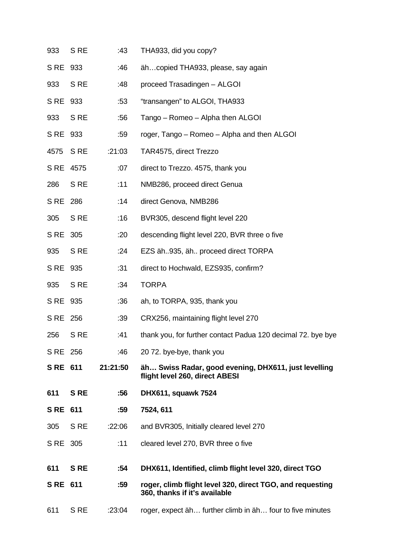| 611       | S RE            | :23:04   | roger, expect äh further climb in äh four to five minutes                                  |
|-----------|-----------------|----------|--------------------------------------------------------------------------------------------|
| S RE 611  |                 | :59      | roger, climb flight level 320, direct TGO, and requesting<br>360, thanks if it's available |
| 611       | <b>SRE</b>      | :54      | DHX611, Identified, climb flight level 320, direct TGO                                     |
| S RE 305  |                 | :11      | cleared level 270, BVR three o five                                                        |
| 305       | S RE            | :22:06   | and BVR305, Initially cleared level 270                                                    |
| S RE 611  |                 | :59      | 7524, 611                                                                                  |
| 611       | <b>SRE</b>      | :56      | DHX611, squawk 7524                                                                        |
| S RE 611  |                 | 21:21:50 | äh Swiss Radar, good evening, DHX611, just levelling<br>flight level 260, direct ABESI     |
| S RE 256  |                 | :46      | 20 72. bye-bye, thank you                                                                  |
| 256       | S <sub>RE</sub> | :41      | thank you, for further contact Padua 120 decimal 72. bye bye                               |
| S RE 256  |                 | :39      | CRX256, maintaining flight level 270                                                       |
| S RE 935  |                 | :36      | ah, to TORPA, 935, thank you                                                               |
| 935       | S <sub>RE</sub> | :34      | <b>TORPA</b>                                                                               |
| S RE 935  |                 | :31      | direct to Hochwald, EZS935, confirm?                                                       |
| 935       | S <sub>RE</sub> | :24      | EZS äh935, äh proceed direct TORPA                                                         |
| S RE 305  |                 | :20      | descending flight level 220, BVR three o five                                              |
| 305       | S <sub>RE</sub> | :16      | BVR305, descend flight level 220                                                           |
| S RE 286  |                 | :14      | direct Genova, NMB286                                                                      |
| 286       | S RE            | :11      | NMB286, proceed direct Genua                                                               |
| S RE 4575 |                 | :07      | direct to Trezzo. 4575, thank you                                                          |
| 4575      | S <sub>RE</sub> | :21:03   | TAR4575, direct Trezzo                                                                     |
| S RE 933  |                 | :59      | roger, Tango - Romeo - Alpha and then ALGOI                                                |
| 933       | S <sub>RE</sub> | :56      | Tango - Romeo - Alpha then ALGOI                                                           |
| S RE 933  |                 | :53      | "transangen" to ALGOI, THA933                                                              |
| 933       | S <sub>RE</sub> | :48      | proceed Trasadingen - ALGOI                                                                |
| S RE 933  |                 | :46      | ähcopied THA933, please, say again                                                         |
| 933       | S RE            | :43      | THA933, did you copy?                                                                      |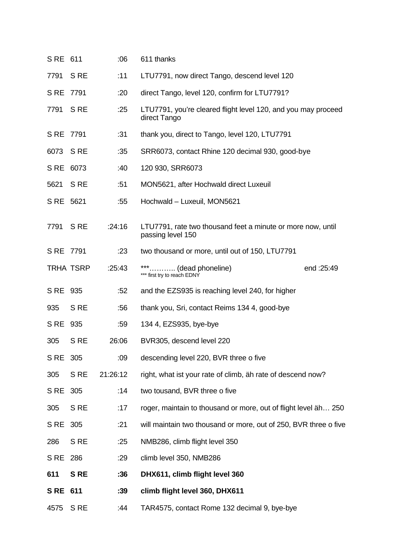| S RE 611        |                 | :06      | 611 thanks                                                                       |
|-----------------|-----------------|----------|----------------------------------------------------------------------------------|
| 7791            | S <sub>RE</sub> | :11      | LTU7791, now direct Tango, descend level 120                                     |
| S RE 7791       |                 | :20      | direct Tango, level 120, confirm for LTU7791?                                    |
| 7791            | S <sub>RE</sub> | :25      | LTU7791, you're cleared flight level 120, and you may proceed<br>direct Tango    |
| S RE 7791       |                 | :31      | thank you, direct to Tango, level 120, LTU7791                                   |
| 6073            | S <sub>RE</sub> | :35      | SRR6073, contact Rhine 120 decimal 930, good-bye                                 |
| S RE 6073       |                 | :40      | 120 930, SRR6073                                                                 |
| 5621            | S <sub>RE</sub> | :51      | MON5621, after Hochwald direct Luxeuil                                           |
| S RE 5621       |                 | :55      | Hochwald - Luxeuil, MON5621                                                      |
| 7791            | S <sub>RE</sub> | :24:16   | LTU7791, rate two thousand feet a minute or more now, until<br>passing level 150 |
| S RE 7791       |                 | :23      | two thousand or more, until out of 150, LTU7791                                  |
|                 | TRHA TSRP       | :25:43   | (dead phoneline)<br>end: 25:49<br>*** first try to reach EDNY                    |
| S RE 935        |                 | :52      | and the EZS935 is reaching level 240, for higher                                 |
| 935             | S <sub>RE</sub> | :56      | thank you, Sri, contact Reims 134 4, good-bye                                    |
| S RE 935        |                 | :59      | 134 4, EZS935, bye-bye                                                           |
| 305             | S <sub>RE</sub> | 26:06    | BVR305, descend level 220                                                        |
| S RE            | 305             | :09      | descending level 220, BVR three o five                                           |
| 305             | S <sub>RE</sub> | 21:26:12 | right, what ist your rate of climb, äh rate of descend now?                      |
| S <sub>RE</sub> | 305             | :14      | two tousand, BVR three o five                                                    |
| 305             | S <sub>RE</sub> | :17      | roger, maintain to thousand or more, out of flight level äh 250                  |
| S RE            | 305             | :21      | will maintain two thousand or more, out of 250, BVR three o five                 |
| 286             | S RE            | :25      | NMB286, climb flight level 350                                                   |
| S RE            | 286             | :29      | climb level 350, NMB286                                                          |
| 611             | <b>SRE</b>      | :36      | DHX611, climb flight level 360                                                   |
| S RE            | 611             | :39      | climb flight level 360, DHX611                                                   |
| 4575            | S <sub>RE</sub> | :44      | TAR4575, contact Rome 132 decimal 9, bye-bye                                     |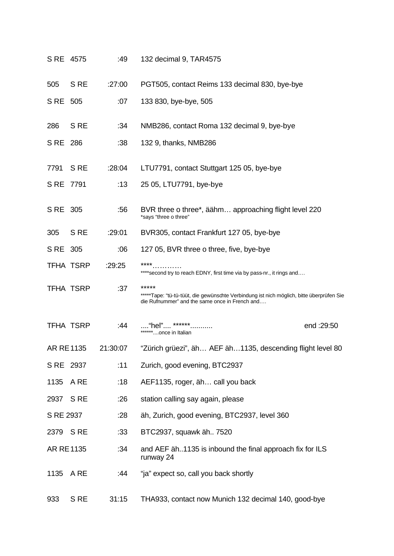| S RE 4575 |                  | :49      | 132 decimal 9, TAR4575                                                                                                                              |
|-----------|------------------|----------|-----------------------------------------------------------------------------------------------------------------------------------------------------|
| 505       | S <sub>RE</sub>  | :27:00   | PGT505, contact Reims 133 decimal 830, bye-bye                                                                                                      |
| S RE 505  |                  | :07      | 133 830, bye-bye, 505                                                                                                                               |
| 286       | S <sub>RE</sub>  | :34      | NMB286, contact Roma 132 decimal 9, bye-bye                                                                                                         |
| S RE 286  |                  | :38      | 132 9, thanks, NMB286                                                                                                                               |
| 7791      | S <sub>RE</sub>  | :28:04   | LTU7791, contact Stuttgart 125 05, bye-bye                                                                                                          |
| S RE 7791 |                  | :13      | 25 05, LTU7791, bye-bye                                                                                                                             |
| S RE 305  |                  | :56      | BVR three o three*, äähm approaching flight level 220<br>*says "three o three"                                                                      |
| 305       | S <sub>RE</sub>  | :29:01   | BVR305, contact Frankfurt 127 05, bye-bye                                                                                                           |
| S RE 305  |                  | :06      | 127 05, BVR three o three, five, bye-bye                                                                                                            |
|           | TFHA TSRP        | :29:25   | ****<br>**** second try to reach EDNY, first time via by pass-nr., it rings and                                                                     |
|           | TFHA TSRP        | :37      | *****<br>*****Tape: "tü-tü-tüüt, die gewünschte Verbindung ist nich möglich, bitte überprüfen Sie<br>die Rufnummer" and the same once in French and |
|           | <b>TFHA TSRP</b> | :44      | "hel" ******<br>end:29:50<br>******once in Italian                                                                                                  |
| AR RE1135 |                  | 21:30:07 | "Zürich grüezi", äh AEF äh1135, descending flight level 80                                                                                          |
| S RE 2937 |                  | :11      | Zurich, good evening, BTC2937                                                                                                                       |
| 1135      | A RE             | :18      | AEF1135, roger, äh call you back                                                                                                                    |
| 2937      | S <sub>RE</sub>  | :26      | station calling say again, please                                                                                                                   |
| S RE 2937 |                  | :28      | äh, Zurich, good evening, BTC2937, level 360                                                                                                        |
| 2379 SRE  |                  | :33      | BTC2937, squawk äh 7520                                                                                                                             |
| AR RE1135 |                  | :34      | and AEF äh1135 is inbound the final approach fix for ILS<br>runway 24                                                                               |
| 1135      | A RE             | :44      | "ja" expect so, call you back shortly                                                                                                               |
| 933       | S <sub>RE</sub>  | 31:15    | THA933, contact now Munich 132 decimal 140, good-bye                                                                                                |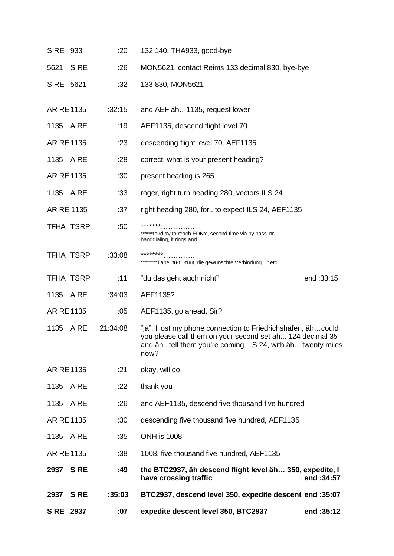| S RE             | 2937            | :07      | expedite descent level 350, BTC2937                                                                                                                                                              | end: 35:12 |
|------------------|-----------------|----------|--------------------------------------------------------------------------------------------------------------------------------------------------------------------------------------------------|------------|
| 2937             | <b>SRE</b>      | :35:03   | BTC2937, descend level 350, expedite descent end :35:07                                                                                                                                          |            |
| 2937             | <b>SRE</b>      | :49      | the BTC2937, äh descend flight level äh 350, expedite, I<br>have crossing traffic                                                                                                                | end: 34:57 |
| AR RE1135        |                 | :38      | 1008, five thousand five hundred, AEF1135                                                                                                                                                        |            |
| 1135             | A RE            | :35      | <b>ONH is 1008</b>                                                                                                                                                                               |            |
| AR RE1135        |                 | :30      | descending five thousand five hundred, AEF1135                                                                                                                                                   |            |
| 1135             | A RE            | :26      | and AEF1135, descend five thousand five hundred                                                                                                                                                  |            |
| 1135             | A RE            | :22      | thank you                                                                                                                                                                                        |            |
| AR RE1135        |                 | :21      | okay, will do                                                                                                                                                                                    |            |
| 1135             | A RE            | 21:34:08 | "ja", I lost my phone connection to Friedrichshafen, ähcould<br>you please call them on your second set äh 124 decimal 35<br>and äh tell them you're coming ILS 24, with äh twenty miles<br>now? |            |
| AR RE1135        |                 | :05      | AEF1135, go ahead, Sir?                                                                                                                                                                          |            |
| 1135             | A RE            | :34:03   | AEF1135?                                                                                                                                                                                         |            |
|                  | TFHA TSRP       | :11      | "du das geht auch nicht"                                                                                                                                                                         | end: 33:15 |
|                  | TFHA TSRP       | :33:08   | ********<br>********Tape:"tü-tü-tüüt, die gewünschte Verbindung" etc                                                                                                                             |            |
|                  | TFHA TSRP       | :50      | *******<br>******third try to reach EDNY, second time via by pass-nr.,<br>handdialing, it rings and                                                                                              |            |
| AR RE 1135       |                 | :37      | right heading 280, for to expect ILS 24, AEF1135                                                                                                                                                 |            |
| 1135             | A RE            | :33      | roger, right turn heading 280, vectors ILS 24                                                                                                                                                    |            |
| <b>AR RE1135</b> |                 | :30      | present heading is 265                                                                                                                                                                           |            |
| 1135 A RE        |                 | :28      | correct, what is your present heading?                                                                                                                                                           |            |
| AR RE1135        |                 | : 23     | descending flight level 70, AEF1135                                                                                                                                                              |            |
| 1135 A RE        |                 | :19      | AEF1135, descend flight level 70                                                                                                                                                                 |            |
| AR RE1135        |                 | :32:15   | and AEF äh1135, request lower                                                                                                                                                                    |            |
| S RE 5621        |                 | :32      | 133 830, MON5621                                                                                                                                                                                 |            |
| 5621             | S <sub>RE</sub> | :26      | MON5621, contact Reims 133 decimal 830, bye-bye                                                                                                                                                  |            |
| S RE 933         |                 | :20      | 132 140, THA933, good-bye                                                                                                                                                                        |            |